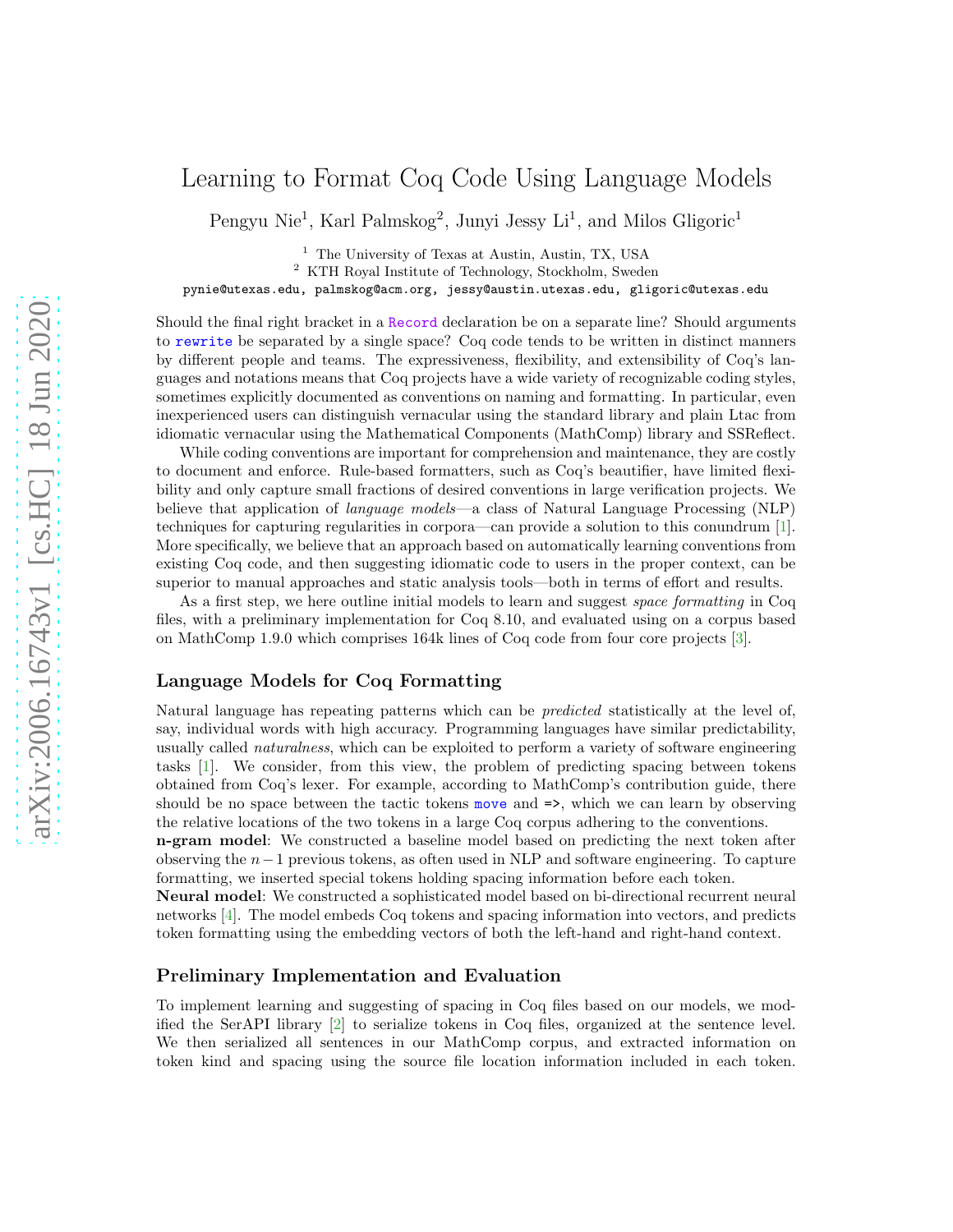# Learning to Format Coq Code Using Language Models

Pengyu Nie<sup>1</sup>, Karl Palmskog<sup>2</sup>, Junyi Jessy Li<sup>1</sup>, and Milos Gligoric<sup>1</sup>

<sup>1</sup> The University of Texas at Austin, Austin, TX, USA

<sup>2</sup> KTH Royal Institute of Technology, Stockholm, Sweden

pynie@utexas.edu, palmskog@acm.org, jessy@austin.utexas.edu, gligoric@utexas.edu

Should the final right bracket in a Record declaration be on a separate line? Should arguments to rewrite be separated by a single space? Coq code tends to be written in distinct manners by different people and teams. The expressiveness, flexibility, and extensibility of Coq's languages and notations means that Coq projects have a wide variety of recognizable coding styles, sometimes explicitly documented as conventions on naming and formatting. In particular, even inexperienced users can distinguish vernacular using the standard library and plain Ltac from idiomatic vernacular using the Mathematical Components (MathComp) library and SSReflect.

While coding conventions are important for comprehension and maintenance, they are costly to document and enforce. Rule-based formatters, such as Coq's beautifier, have limited flexibility and only capture small fractions of desired conventions in large verification projects. We believe that application of language models—a class of Natural Language Processing (NLP) techniques for capturing regularities in corpora—can provide a solution to this conundrum [\[1\]](#page-1-0). More specifically, we believe that an approach based on automatically learning conventions from existing Coq code, and then suggesting idiomatic code to users in the proper context, can be superior to manual approaches and static analysis tools—both in terms of effort and results.

As a first step, we here outline initial models to learn and suggest space formatting in Coq files, with a preliminary implementation for Coq 8.10, and evaluated using on a corpus based on MathComp 1.9.0 which comprises 164k lines of Coq code from four core projects [\[3\]](#page-1-1).

### Language Models for Coq Formatting

Natural language has repeating patterns which can be predicted statistically at the level of, say, individual words with high accuracy. Programming languages have similar predictability, usually called naturalness, which can be exploited to perform a variety of software engineering tasks [\[1](#page-1-0)]. We consider, from this view, the problem of predicting spacing between tokens obtained from Coq's lexer. For example, according to MathComp's contribution guide, there should be no space between the tactic tokens move and  $\Rightarrow$ , which we can learn by observing the relative locations of the two tokens in a large Coq corpus adhering to the conventions.

n-gram model: We constructed a baseline model based on predicting the next token after observing the n−1 previous tokens, as often used in NLP and software engineering. To capture formatting, we inserted special tokens holding spacing information before each token.

Neural model: We constructed a sophisticated model based on bi-directional recurrent neural networks [\[4\]](#page-1-2). The model embeds Coq tokens and spacing information into vectors, and predicts token formatting using the embedding vectors of both the left-hand and right-hand context.

## Preliminary Implementation and Evaluation

To implement learning and suggesting of spacing in Coq files based on our models, we modified the SerAPI library [\[2](#page-1-3)] to serialize tokens in Coq files, organized at the sentence level. We then serialized all sentences in our MathComp corpus, and extracted information on token kind and spacing using the source file location information included in each token.